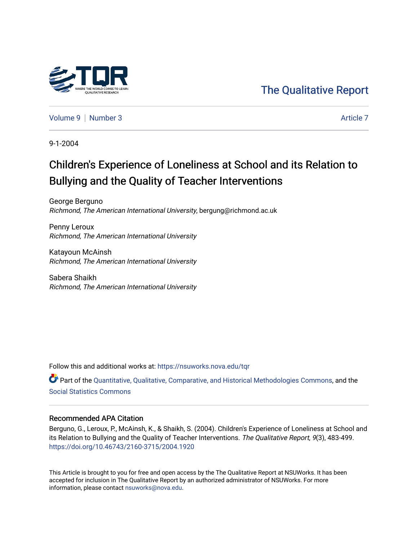

[The Qualitative Report](https://nsuworks.nova.edu/tqr) 

[Volume 9](https://nsuworks.nova.edu/tqr/vol9) | [Number 3](https://nsuworks.nova.edu/tqr/vol9/iss3) Article 7

9-1-2004

## Children's Experience of Loneliness at School and its Relation to Bullying and the Quality of Teacher Interventions

George Berguno Richmond, The American International University, bergung@richmond.ac.uk

Penny Leroux Richmond, The American International University

Katayoun McAinsh Richmond, The American International University

Sabera Shaikh Richmond, The American International University

Follow this and additional works at: [https://nsuworks.nova.edu/tqr](https://nsuworks.nova.edu/tqr?utm_source=nsuworks.nova.edu%2Ftqr%2Fvol9%2Fiss3%2F7&utm_medium=PDF&utm_campaign=PDFCoverPages) 

Part of the [Quantitative, Qualitative, Comparative, and Historical Methodologies Commons,](http://network.bepress.com/hgg/discipline/423?utm_source=nsuworks.nova.edu%2Ftqr%2Fvol9%2Fiss3%2F7&utm_medium=PDF&utm_campaign=PDFCoverPages) and the [Social Statistics Commons](http://network.bepress.com/hgg/discipline/1275?utm_source=nsuworks.nova.edu%2Ftqr%2Fvol9%2Fiss3%2F7&utm_medium=PDF&utm_campaign=PDFCoverPages) 

#### Recommended APA Citation

Berguno, G., Leroux, P., McAinsh, K., & Shaikh, S. (2004). Children's Experience of Loneliness at School and its Relation to Bullying and the Quality of Teacher Interventions. The Qualitative Report, 9(3), 483-499. <https://doi.org/10.46743/2160-3715/2004.1920>

This Article is brought to you for free and open access by the The Qualitative Report at NSUWorks. It has been accepted for inclusion in The Qualitative Report by an authorized administrator of NSUWorks. For more information, please contact [nsuworks@nova.edu.](mailto:nsuworks@nova.edu)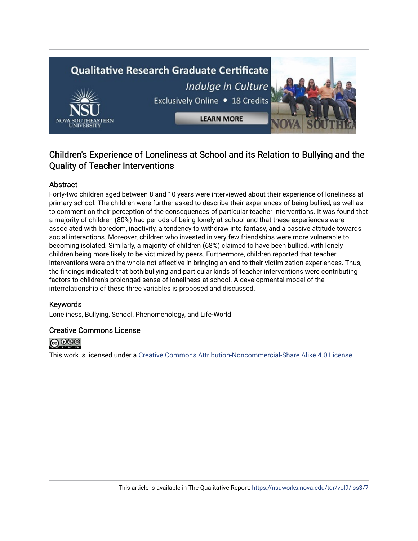# **Qualitative Research Graduate Certificate** Indulge in Culture Exclusively Online . 18 Credits **LEARN MORE**

## Children's Experience of Loneliness at School and its Relation to Bullying and the Quality of Teacher Interventions

#### Abstract

Forty-two children aged between 8 and 10 years were interviewed about their experience of loneliness at primary school. The children were further asked to describe their experiences of being bullied, as well as to comment on their perception of the consequences of particular teacher interventions. It was found that a majority of children (80%) had periods of being lonely at school and that these experiences were associated with boredom, inactivity, a tendency to withdraw into fantasy, and a passive attitude towards social interactions. Moreover, children who invested in very few friendships were more vulnerable to becoming isolated. Similarly, a majority of children (68%) claimed to have been bullied, with lonely children being more likely to be victimized by peers. Furthermore, children reported that teacher interventions were on the whole not effective in bringing an end to their victimization experiences. Thus, the findings indicated that both bullying and particular kinds of teacher interventions were contributing factors to children's prolonged sense of loneliness at school. A developmental model of the interrelationship of these three variables is proposed and discussed.

#### Keywords

Loneliness, Bullying, School, Phenomenology, and Life-World

#### Creative Commons License



This work is licensed under a [Creative Commons Attribution-Noncommercial-Share Alike 4.0 License](https://creativecommons.org/licenses/by-nc-sa/4.0/).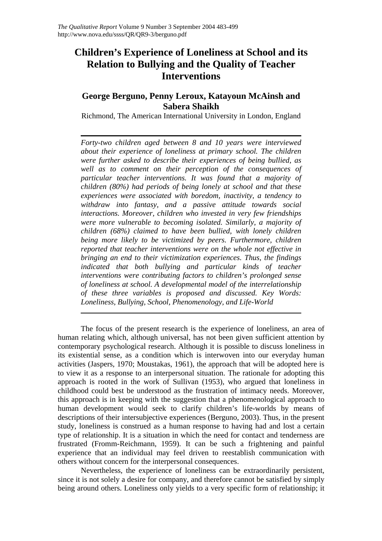## **Children's Experience of Loneliness at School and its Relation to Bullying and the Quality of Teacher Interventions**

### **George Berguno, Penny Leroux, Katayoun McAinsh and Sabera Shaikh**

Richmond, The American International University in London, England

*Forty-two children aged between 8 and 10 years were interviewed about their experience of loneliness at primary school. The children were further asked to describe their experiences of being bullied, as well as to comment on their perception of the consequences of particular teacher interventions. It was found that a majority of children (80%) had periods of being lonely at school and that these experiences were associated with boredom, inactivity, a tendency to withdraw into fantasy, and a passive attitude towards social interactions. Moreover, children who invested in very few friendships were more vulnerable to becoming isolated. Similarly, a majority of children (68%) claimed to have been bullied, with lonely children being more likely to be victimized by peers. Furthermore, children reported that teacher interventions were on the whole not effective in bringing an end to their victimization experiences. Thus, the findings indicated that both bullying and particular kinds of teacher interventions were contributing factors to children's prolonged sense of loneliness at school. A developmental model of the interrelationship of these three variables is proposed and discussed. Key Words: Loneliness, Bullying, School, Phenomenology, and Life-World* 

The focus of the present research is the experience of loneliness, an area of human relating which, although universal, has not been given sufficient attention by contemporary psychological research. Although it is possible to discuss loneliness in its existential sense, as a condition which is interwoven into our everyday human activities (Jaspers, 1970; Moustakas, 1961), the approach that will be adopted here is to view it as a response to an interpersonal situation. The rationale for adopting this approach is rooted in the work of Sullivan (1953), who argued that loneliness in childhood could best be understood as the frustration of intimacy needs. Moreover, this approach is in keeping with the suggestion that a phenomenological approach to human development would seek to clarify children's life-worlds by means of descriptions of their intersubjective experiences (Berguno, 2003). Thus, in the present study, loneliness is construed as a human response to having had and lost a certain type of relationship. It is a situation in which the need for contact and tenderness are frustrated (Fromm-Reichmann, 1959). It can be such a frightening and painful experience that an individual may feel driven to reestablish communication with others without concern for the interpersonal consequences.

Nevertheless, the experience of loneliness can be extraordinarily persistent, since it is not solely a desire for company, and therefore cannot be satisfied by simply being around others. Loneliness only yields to a very specific form of relationship; it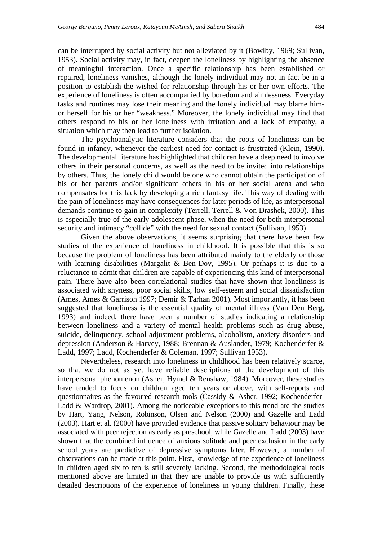can be interrupted by social activity but not alleviated by it (Bowlby, 1969; Sullivan, 1953). Social activity may, in fact, deepen the loneliness by highlighting the absence of meaningful interaction. Once a specific relationship has been established or repaired, loneliness vanishes, although the lonely individual may not in fact be in a position to establish the wished for relationship through his or her own efforts. The experience of loneliness is often accompanied by boredom and aimlessness. Everyday tasks and routines may lose their meaning and the lonely individual may blame himor herself for his or her "weakness." Moreover, the lonely individual may find that others respond to his or her loneliness with irritation and a lack of empathy, a situation which may then lead to further isolation.

The psychoanalytic literature considers that the roots of loneliness can be found in infancy, whenever the earliest need for contact is frustrated (Klein, 1990). The developmental literature has highlighted that children have a deep need to involve others in their personal concerns, as well as the need to be invited into relationships by others. Thus, the lonely child would be one who cannot obtain the participation of his or her parents and/or significant others in his or her social arena and who compensates for this lack by developing a rich fantasy life. This way of dealing with the pain of loneliness may have consequences for later periods of life, as interpersonal demands continue to gain in complexity (Terrell, Terrell & Von Drashek, 2000). This is especially true of the early adolescent phase, when the need for both interpersonal security and intimacy "collide" with the need for sexual contact (Sullivan, 1953).

Given the above observations, it seems surprising that there have been few studies of the experience of loneliness in childhood. It is possible that this is so because the problem of loneliness has been attributed mainly to the elderly or those with learning disabilities (Margalit & Ben-Dov, 1995). Or perhaps it is due to a reluctance to admit that children are capable of experiencing this kind of interpersonal pain. There have also been correlational studies that have shown that loneliness is associated with shyness, poor social skills, low self-esteem and social dissatisfaction (Ames, Ames & Garrison 1997; Demir & Tarhan 2001). Most importantly, it has been suggested that loneliness is the essential quality of mental illness (Van Den Berg, 1993) and indeed, there have been a number of studies indicating a relationship between loneliness and a variety of mental health problems such as drug abuse, suicide, delinquency, school adjustment problems, alcoholism, anxiety disorders and depression (Anderson & Harvey, 1988; Brennan & Auslander, 1979; Kochenderfer & Ladd, 1997; Ladd, Kochenderfer & Coleman, 1997; Sullivan 1953).

Nevertheless, research into loneliness in childhood has been relatively scarce, so that we do not as yet have reliable descriptions of the development of this interpersonal phenomenon (Asher, Hymel & Renshaw, 1984). Moreover, these studies have tended to focus on children aged ten years or above, with self-reports and questionnaires as the favoured research tools (Cassidy & Asher, 1992; Kochenderfer-Ladd & Wardrop, 2001). Among the noticeable exceptions to this trend are the studies by Hart, Yang, Nelson, Robinson, Olsen and Nelson (2000) and Gazelle and Ladd (2003). Hart et al. (2000) have provided evidence that passive solitary behaviour may be associated with peer rejection as early as preschool, while Gazelle and Ladd (2003) have shown that the combined influence of anxious solitude and peer exclusion in the early school years are predictive of depressive symptoms later. However, a number of observations can be made at this point. First, knowledge of the experience of loneliness in children aged six to ten is still severely lacking. Second, the methodological tools mentioned above are limited in that they are unable to provide us with sufficiently detailed descriptions of the experience of loneliness in young children. Finally, these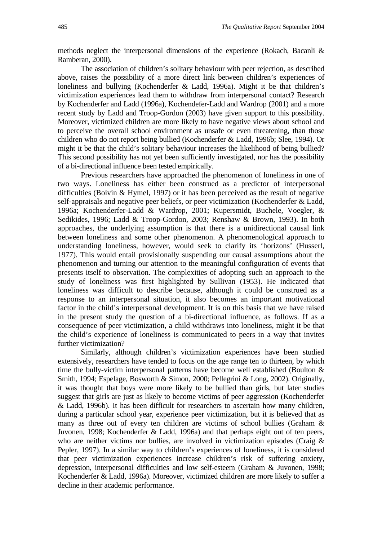methods neglect the interpersonal dimensions of the experience (Rokach, Bacanli & Ramberan, 2000).

The association of children's solitary behaviour with peer rejection, as described above, raises the possibility of a more direct link between children's experiences of loneliness and bullying (Kochenderfer & Ladd, 1996a). Might it be that children's victimization experiences lead them to withdraw from interpersonal contact? Research by Kochenderfer and Ladd (1996a), Kochendefer-Ladd and Wardrop (2001) and a more recent study by Ladd and Troop-Gordon (2003) have given support to this possibility. Moreover, victimized children are more likely to have negative views about school and to perceive the overall school environment as unsafe or even threatening, than those children who do not report being bullied (Kochenderfer & Ladd, 1996b; Slee, 1994). Or might it be that the child's solitary behaviour increases the likelihood of being bullied? This second possibility has not yet been sufficiently investigated, nor has the possibility of a bi-directional influence been tested empirically.

Previous researchers have approached the phenomenon of loneliness in one of two ways. Loneliness has either been construed as a predictor of interpersonal difficulties (Boivin & Hymel, 1997) or it has been perceived as the result of negative self-appraisals and negative peer beliefs, or peer victimization (Kochenderfer & Ladd, 1996a; Kochenderfer-Ladd & Wardrop, 2001; Kupersmidt, Buchele, Voegler, & Sedikides, 1996; Ladd & Troop-Gordon, 2003; Renshaw & Brown, 1993). In both approaches, the underlying assumption is that there is a unidirectional causal link between loneliness and some other phenomenon. A phenomenological approach to understanding loneliness, however, would seek to clarify its 'horizons' (Husserl, 1977). This would entail provisionally suspending our causal assumptions about the phenomenon and turning our attention to the meaningful configuration of events that presents itself to observation. The complexities of adopting such an approach to the study of loneliness was first highlighted by Sullivan (1953). He indicated that loneliness was difficult to describe because, although it could be construed as a response to an interpersonal situation, it also becomes an important motivational factor in the child's interpersonal development. It is on this basis that we have raised in the present study the question of a bi-directional influence, as follows. If as a consequence of peer victimization, a child withdraws into loneliness, might it be that the child's experience of loneliness is communicated to peers in a way that invites further victimization?

Similarly, although children's victimization experiences have been studied extensively, researchers have tended to focus on the age range ten to thirteen, by which time the bully-victim interpersonal patterns have become well established (Boulton & Smith, 1994; Espelage, Bosworth & Simon, 2000; Pellegrini & Long, 2002). Originally, it was thought that boys were more likely to be bullied than girls, but later studies suggest that girls are just as likely to become victims of peer aggression (Kochenderfer & Ladd, 1996b). It has been difficult for researchers to ascertain how many children, during a particular school year, experience peer victimization, but it is believed that as many as three out of every ten children are victims of school bullies (Graham & Juvonen, 1998; Kochenderfer & Ladd, 1996a) and that perhaps eight out of ten peers, who are neither victims nor bullies, are involved in victimization episodes (Craig & Pepler, 1997). In a similar way to children's experiences of loneliness, it is considered that peer victimization experiences increase children's risk of suffering anxiety, depression, interpersonal difficulties and low self-esteem (Graham & Juvonen, 1998; Kochenderfer & Ladd, 1996a). Moreover, victimized children are more likely to suffer a decline in their academic performance.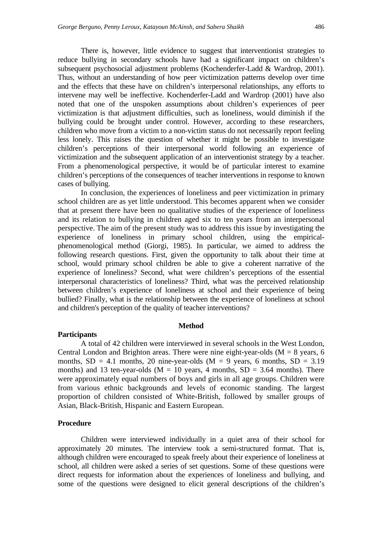There is, however, little evidence to suggest that interventionist strategies to reduce bullying in secondary schools have had a significant impact on children's subsequent psychosocial adjustment problems (Kochenderfer-Ladd & Wardrop, 2001). Thus, without an understanding of how peer victimization patterns develop over time and the effects that these have on children's interpersonal relationships, any efforts to intervene may well be ineffective. Kochenderfer-Ladd and Wardrop (2001) have also noted that one of the unspoken assumptions about children's experiences of peer victimization is that adjustment difficulties, such as loneliness, would diminish if the bullying could be brought under control. However, according to these researchers, children who move from a victim to a non-victim status do not necessarily report feeling less lonely. This raises the question of whether it might be possible to investigate children's perceptions of their interpersonal world following an experience of victimization and the subsequent application of an interventionist strategy by a teacher. From a phenomenological perspective, it would be of particular interest to examine children's perceptions of the consequences of teacher interventions in response to known cases of bullying.

In conclusion, the experiences of loneliness and peer victimization in primary school children are as yet little understood. This becomes apparent when we consider that at present there have been no qualitative studies of the experience of loneliness and its relation to bullying in children aged six to ten years from an interpersonal perspective. The aim of the present study was to address this issue by investigating the experience of loneliness in primary school children, using the empiricalphenomenological method (Giorgi, 1985). In particular, we aimed to address the following research questions. First, given the opportunity to talk about their time at school, would primary school children be able to give a coherent narrative of the experience of loneliness? Second, what were children's perceptions of the essential interpersonal characteristics of loneliness? Third, what was the perceived relationship between children's experience of loneliness at school and their experience of being bullied? Finally, what is the relationship between the experience of loneliness at school and children's perception of the quality of teacher interventions?

#### **Method**

#### **Participants**

A total of 42 children were interviewed in several schools in the West London, Central London and Brighton areas. There were nine eight-year-olds  $(M = 8$  years, 6 months,  $SD = 4.1$  months, 20 nine-year-olds (M = 9 years, 6 months,  $SD = 3.19$ ) months) and 13 ten-year-olds ( $M = 10$  years, 4 months,  $SD = 3.64$  months). There were approximately equal numbers of boys and girls in all age groups. Children were from various ethnic backgrounds and levels of economic standing. The largest proportion of children consisted of White-British, followed by smaller groups of Asian, Black-British, Hispanic and Eastern European.

#### **Procedure**

Children were interviewed individually in a quiet area of their school for approximately 20 minutes. The interview took a semi-structured format. That is, although children were encouraged to speak freely about their experience of loneliness at school, all children were asked a series of set questions. Some of these questions were direct requests for information about the experiences of loneliness and bullying, and some of the questions were designed to elicit general descriptions of the children's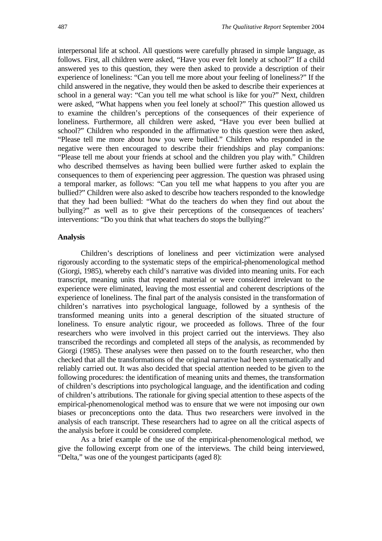interpersonal life at school. All questions were carefully phrased in simple language, as follows. First, all children were asked, "Have you ever felt lonely at school?" If a child answered yes to this question, they were then asked to provide a description of their experience of loneliness: "Can you tell me more about your feeling of loneliness?" If the child answered in the negative, they would then be asked to describe their experiences at school in a general way: "Can you tell me what school is like for you?" Next, children were asked, "What happens when you feel lonely at school?" This question allowed us to examine the children's perceptions of the consequences of their experience of loneliness. Furthermore, all children were asked, "Have you ever been bullied at school?" Children who responded in the affirmative to this question were then asked, "Please tell me more about how you were bullied." Children who responded in the negative were then encouraged to describe their friendships and play companions: "Please tell me about your friends at school and the children you play with." Children who described themselves as having been bullied were further asked to explain the consequences to them of experiencing peer aggression. The question was phrased using a temporal marker, as follows: "Can you tell me what happens to you after you are bullied?" Children were also asked to describe how teachers responded to the knowledge that they had been bullied: "What do the teachers do when they find out about the bullying?" as well as to give their perceptions of the consequences of teachers' interventions: "Do you think that what teachers do stops the bullying?"

#### **Analysis**

Children's descriptions of loneliness and peer victimization were analysed rigorously according to the systematic steps of the empirical-phenomenological method (Giorgi, 1985), whereby each child's narrative was divided into meaning units. For each transcript, meaning units that repeated material or were considered irrelevant to the experience were eliminated, leaving the most essential and coherent descriptions of the experience of loneliness. The final part of the analysis consisted in the transformation of children's narratives into psychological language, followed by a synthesis of the transformed meaning units into a general description of the situated structure of loneliness. To ensure analytic rigour, we proceeded as follows. Three of the four researchers who were involved in this project carried out the interviews. They also transcribed the recordings and completed all steps of the analysis, as recommended by Giorgi (1985). These analyses were then passed on to the fourth researcher, who then checked that all the transformations of the original narrative had been systematically and reliably carried out. It was also decided that special attention needed to be given to the following procedures: the identification of meaning units and themes, the transformation of children's descriptions into psychological language, and the identification and coding of children's attributions. The rationale for giving special attention to these aspects of the empirical-phenomenological method was to ensure that we were not imposing our own biases or preconceptions onto the data. Thus two researchers were involved in the analysis of each transcript. These researchers had to agree on all the critical aspects of the analysis before it could be considered complete.

As a brief example of the use of the empirical-phenomenological method, we give the following excerpt from one of the interviews. The child being interviewed, "Delta," was one of the youngest participants (aged 8):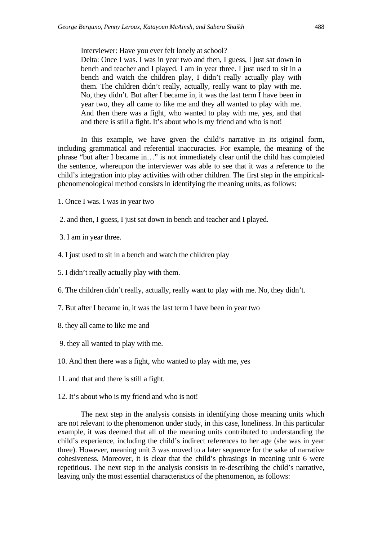Interviewer: Have you ever felt lonely at school?

Delta: Once I was. I was in year two and then, I guess, I just sat down in bench and teacher and I played. I am in year three. I just used to sit in a bench and watch the children play, I didn't really actually play with them. The children didn't really, actually, really want to play with me. No, they didn't. But after I became in, it was the last term I have been in year two, they all came to like me and they all wanted to play with me. And then there was a fight, who wanted to play with me, yes, and that and there is still a fight. It's about who is my friend and who is not!

In this example, we have given the child's narrative in its original form, including grammatical and referential inaccuracies. For example, the meaning of the phrase "but after I became in…" is not immediately clear until the child has completed the sentence, whereupon the interviewer was able to see that it was a reference to the child's integration into play activities with other children. The first step in the empiricalphenomenological method consists in identifying the meaning units, as follows:

1. Once I was. I was in year two

2. and then, I guess, I just sat down in bench and teacher and I played.

3. I am in year three.

4. I just used to sit in a bench and watch the children play

5. I didn't really actually play with them.

- 6. The children didn't really, actually, really want to play with me. No, they didn't.
- 7. But after I became in, it was the last term I have been in year two
- 8. they all came to like me and
- 9. they all wanted to play with me.
- 10. And then there was a fight, who wanted to play with me, yes
- 11. and that and there is still a fight.
- 12. It's about who is my friend and who is not!

The next step in the analysis consists in identifying those meaning units which are not relevant to the phenomenon under study, in this case, loneliness. In this particular example, it was deemed that all of the meaning units contributed to understanding the child's experience, including the child's indirect references to her age (she was in year three). However, meaning unit 3 was moved to a later sequence for the sake of narrative cohesiveness. Moreover, it is clear that the child's phrasings in meaning unit 6 were repetitious. The next step in the analysis consists in re-describing the child's narrative, leaving only the most essential characteristics of the phenomenon, as follows: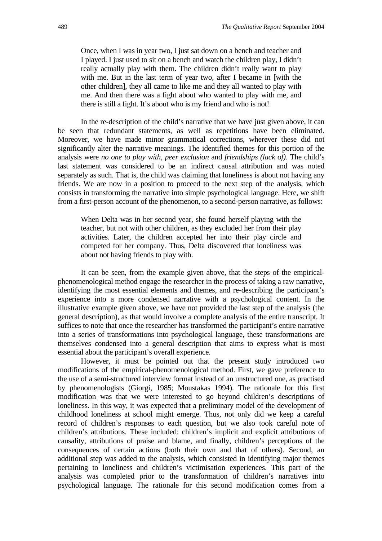Once, when I was in year two, I just sat down on a bench and teacher and I played. I just used to sit on a bench and watch the children play, I didn't really actually play with them. The children didn't really want to play with me. But in the last term of year two, after I became in [with the other children], they all came to like me and they all wanted to play with me. And then there was a fight about who wanted to play with me, and there is still a fight. It's about who is my friend and who is not!

In the re-description of the child's narrative that we have just given above, it can be seen that redundant statements, as well as repetitions have been eliminated. Moreover, we have made minor grammatical corrections, wherever these did not significantly alter the narrative meanings. The identified themes for this portion of the analysis were *no one to play with*, *peer exclusion* and *friendships (lack of)*. The child's last statement was considered to be an indirect causal attribution and was noted separately as such. That is, the child was claiming that loneliness is about not having any friends. We are now in a position to proceed to the next step of the analysis, which consists in transforming the narrative into simple psychological language. Here, we shift from a first-person account of the phenomenon, to a second-person narrative, as follows:

When Delta was in her second year, she found herself playing with the teacher, but not with other children, as they excluded her from their play activities. Later, the children accepted her into their play circle and competed for her company. Thus, Delta discovered that loneliness was about not having friends to play with.

It can be seen, from the example given above, that the steps of the empiricalphenomenological method engage the researcher in the process of taking a raw narrative, identifying the most essential elements and themes, and re-describing the participant's experience into a more condensed narrative with a psychological content. In the illustrative example given above, we have not provided the last step of the analysis (the general description), as that would involve a complete analysis of the entire transcript. It suffices to note that once the researcher has transformed the participant's entire narrative into a series of transformations into psychological language, these transformations are themselves condensed into a general description that aims to express what is most essential about the participant's overall experience.

However, it must be pointed out that the present study introduced two modifications of the empirical-phenomenological method. First, we gave preference to the use of a semi-structured interview format instead of an unstructured one, as practised by phenomenologists (Giorgi, 1985; Moustakas 1994). The rationale for this first modification was that we were interested to go beyond children's descriptions of loneliness. In this way, it was expected that a preliminary model of the development of childhood loneliness at school might emerge. Thus, not only did we keep a careful record of children's responses to each question, but we also took careful note of children's attributions. These included: children's implicit and explicit attributions of causality, attributions of praise and blame, and finally, children's perceptions of the consequences of certain actions (both their own and that of others). Second, an additional step was added to the analysis, which consisted in identifying major themes pertaining to loneliness and children's victimisation experiences. This part of the analysis was completed prior to the transformation of children's narratives into psychological language. The rationale for this second modification comes from a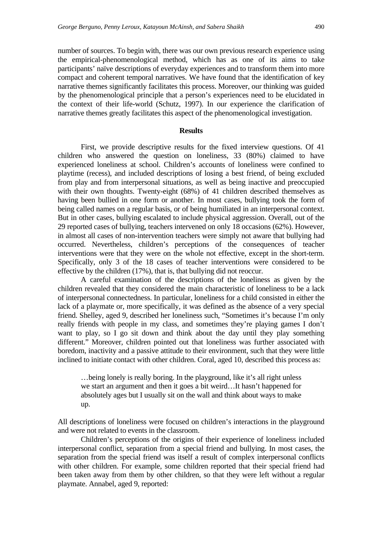number of sources. To begin with, there was our own previous research experience using the empirical-phenomenological method, which has as one of its aims to take participants' naïve descriptions of everyday experiences and to transform them into more compact and coherent temporal narratives. We have found that the identification of key narrative themes significantly facilitates this process. Moreover, our thinking was guided by the phenomenological principle that a person's experiences need to be elucidated in the context of their life-world (Schutz, 1997). In our experience the clarification of narrative themes greatly facilitates this aspect of the phenomenological investigation.

#### **Results**

First, we provide descriptive results for the fixed interview questions. Of 41 children who answered the question on loneliness, 33 (80%) claimed to have experienced loneliness at school. Children's accounts of loneliness were confined to playtime (recess), and included descriptions of losing a best friend, of being excluded from play and from interpersonal situations, as well as being inactive and preoccupied with their own thoughts. Twenty-eight (68%) of 41 children described themselves as having been bullied in one form or another. In most cases, bullying took the form of being called names on a regular basis, or of being humiliated in an interpersonal context. But in other cases, bullying escalated to include physical aggression. Overall, out of the 29 reported cases of bullying, teachers intervened on only 18 occasions (62%). However, in almost all cases of non-intervention teachers were simply not aware that bullying had occurred. Nevertheless, children's perceptions of the consequences of teacher interventions were that they were on the whole not effective, except in the short-term. Specifically, only 3 of the 18 cases of teacher interventions were considered to be effective by the children (17%), that is, that bullying did not reoccur.

A careful examination of the descriptions of the loneliness as given by the children revealed that they considered the main characteristic of loneliness to be a lack of interpersonal connectedness. In particular, loneliness for a child consisted in either the lack of a playmate or, more specifically, it was defined as the absence of a very special friend. Shelley, aged 9, described her loneliness such, "Sometimes it's because I'm only really friends with people in my class, and sometimes they're playing games I don't want to play, so I go sit down and think about the day until they play something different." Moreover, children pointed out that loneliness was further associated with boredom, inactivity and a passive attitude to their environment, such that they were little inclined to initiate contact with other children. Coral, aged 10, described this process as:

…being lonely is really boring. In the playground, like it's all right unless we start an argument and then it goes a bit weird…It hasn't happened for absolutely ages but I usually sit on the wall and think about ways to make up.

All descriptions of loneliness were focused on children's interactions in the playground and were not related to events in the classroom.

Children's perceptions of the origins of their experience of loneliness included interpersonal conflict, separation from a special friend and bullying. In most cases, the separation from the special friend was itself a result of complex interpersonal conflicts with other children. For example, some children reported that their special friend had been taken away from them by other children, so that they were left without a regular playmate. Annabel, aged 9, reported: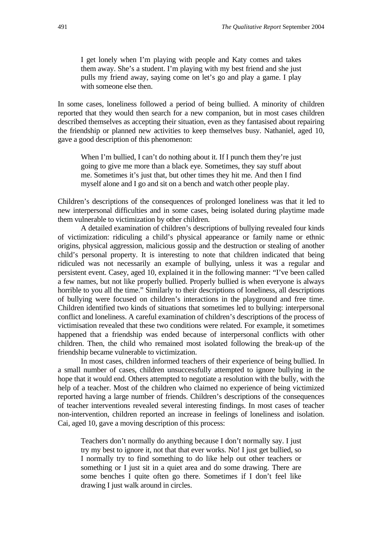I get lonely when I'm playing with people and Katy comes and takes them away. She's a student. I'm playing with my best friend and she just pulls my friend away, saying come on let's go and play a game. I play with someone else then.

In some cases, loneliness followed a period of being bullied. A minority of children reported that they would then search for a new companion, but in most cases children described themselves as accepting their situation, even as they fantasised about repairing the friendship or planned new activities to keep themselves busy. Nathaniel, aged 10, gave a good description of this phenomenon:

When I'm bullied, I can't do nothing about it. If I punch them they're just going to give me more than a black eye. Sometimes, they say stuff about me. Sometimes it's just that, but other times they hit me. And then I find myself alone and I go and sit on a bench and watch other people play.

Children's descriptions of the consequences of prolonged loneliness was that it led to new interpersonal difficulties and in some cases, being isolated during playtime made them vulnerable to victimization by other children.

A detailed examination of children's descriptions of bullying revealed four kinds of victimization: ridiculing a child's physical appearance or family name or ethnic origins, physical aggression, malicious gossip and the destruction or stealing of another child's personal property. It is interesting to note that children indicated that being ridiculed was not necessarily an example of bullying, unless it was a regular and persistent event. Casey, aged 10, explained it in the following manner: "I've been called a few names, but not like properly bullied. Properly bullied is when everyone is always horrible to you all the time." Similarly to their descriptions of loneliness, all descriptions of bullying were focused on children's interactions in the playground and free time. Children identified two kinds of situations that sometimes led to bullying: interpersonal conflict and loneliness. A careful examination of children's descriptions of the process of victimisation revealed that these two conditions were related. For example, it sometimes happened that a friendship was ended because of interpersonal conflicts with other children. Then, the child who remained most isolated following the break-up of the friendship became vulnerable to victimization.

In most cases, children informed teachers of their experience of being bullied. In a small number of cases, children unsuccessfully attempted to ignore bullying in the hope that it would end. Others attempted to negotiate a resolution with the bully, with the help of a teacher. Most of the children who claimed no experience of being victimized reported having a large number of friends. Children's descriptions of the consequences of teacher interventions revealed several interesting findings. In most cases of teacher non-intervention, children reported an increase in feelings of loneliness and isolation. Cai, aged 10, gave a moving description of this process:

Teachers don't normally do anything because I don't normally say. I just try my best to ignore it, not that that ever works. No! I just get bullied, so I normally try to find something to do like help out other teachers or something or I just sit in a quiet area and do some drawing. There are some benches I quite often go there. Sometimes if I don't feel like drawing I just walk around in circles.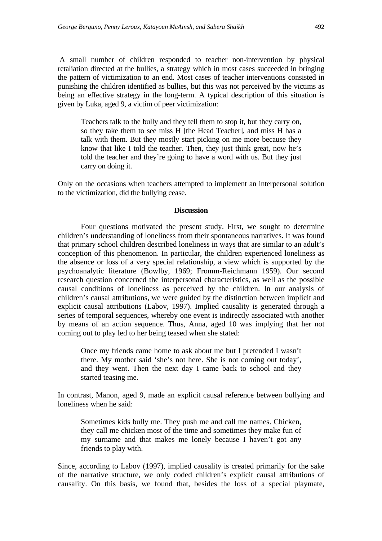A small number of children responded to teacher non-intervention by physical retaliation directed at the bullies, a strategy which in most cases succeeded in bringing the pattern of victimization to an end. Most cases of teacher interventions consisted in punishing the children identified as bullies, but this was not perceived by the victims as being an effective strategy in the long-term. A typical description of this situation is given by Luka, aged 9, a victim of peer victimization:

Teachers talk to the bully and they tell them to stop it, but they carry on, so they take them to see miss H [the Head Teacher], and miss H has a talk with them. But they mostly start picking on me more because they know that like I told the teacher. Then, they just think great, now he's told the teacher and they're going to have a word with us. But they just carry on doing it.

Only on the occasions when teachers attempted to implement an interpersonal solution to the victimization, did the bullying cease.

#### **Discussion**

Four questions motivated the present study. First, we sought to determine children's understanding of loneliness from their spontaneous narratives. It was found that primary school children described loneliness in ways that are similar to an adult's conception of this phenomenon. In particular, the children experienced loneliness as the absence or loss of a very special relationship, a view which is supported by the psychoanalytic literature (Bowlby, 1969; Fromm-Reichmann 1959). Our second research question concerned the interpersonal characteristics, as well as the possible causal conditions of loneliness as perceived by the children. In our analysis of children's causal attributions, we were guided by the distinction between implicit and explicit causal attributions (Labov, 1997). Implied causality is generated through a series of temporal sequences, whereby one event is indirectly associated with another by means of an action sequence. Thus, Anna, aged 10 was implying that her not coming out to play led to her being teased when she stated:

Once my friends came home to ask about me but I pretended I wasn't there. My mother said 'she's not here. She is not coming out today', and they went. Then the next day I came back to school and they started teasing me.

In contrast, Manon, aged 9, made an explicit causal reference between bullying and loneliness when he said:

Sometimes kids bully me. They push me and call me names. Chicken, they call me chicken most of the time and sometimes they make fun of my surname and that makes me lonely because I haven't got any friends to play with.

Since, according to Labov (1997), implied causality is created primarily for the sake of the narrative structure, we only coded children's explicit causal attributions of causality. On this basis, we found that, besides the loss of a special playmate,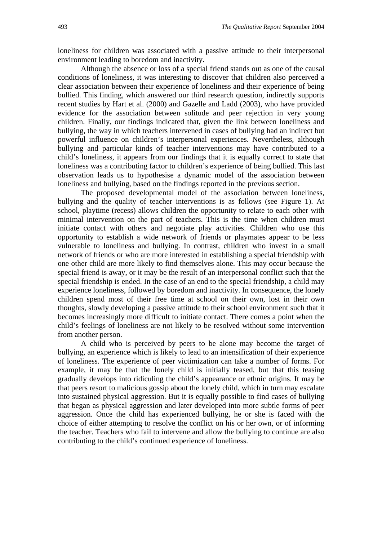loneliness for children was associated with a passive attitude to their interpersonal environment leading to boredom and inactivity.

Although the absence or loss of a special friend stands out as one of the causal conditions of loneliness, it was interesting to discover that children also perceived a clear association between their experience of loneliness and their experience of being bullied. This finding, which answered our third research question, indirectly supports recent studies by Hart et al. (2000) and Gazelle and Ladd (2003), who have provided evidence for the association between solitude and peer rejection in very young children. Finally, our findings indicated that, given the link between loneliness and bullying, the way in which teachers intervened in cases of bullying had an indirect but powerful influence on children's interpersonal experiences. Nevertheless, although bullying and particular kinds of teacher interventions may have contributed to a child's loneliness, it appears from our findings that it is equally correct to state that loneliness was a contributing factor to children's experience of being bullied. This last observation leads us to hypothesise a dynamic model of the association between loneliness and bullying, based on the findings reported in the previous section.

The proposed developmental model of the association between loneliness, bullying and the quality of teacher interventions is as follows (see Figure 1). At school, playtime (recess) allows children the opportunity to relate to each other with minimal intervention on the part of teachers. This is the time when children must initiate contact with others and negotiate play activities. Children who use this opportunity to establish a wide network of friends or playmates appear to be less vulnerable to loneliness and bullying. In contrast, children who invest in a small network of friends or who are more interested in establishing a special friendship with one other child are more likely to find themselves alone. This may occur because the special friend is away, or it may be the result of an interpersonal conflict such that the special friendship is ended. In the case of an end to the special friendship, a child may experience loneliness, followed by boredom and inactivity. In consequence, the lonely children spend most of their free time at school on their own, lost in their own thoughts, slowly developing a passive attitude to their school environment such that it becomes increasingly more difficult to initiate contact. There comes a point when the child's feelings of loneliness are not likely to be resolved without some intervention from another person.

A child who is perceived by peers to be alone may become the target of bullying, an experience which is likely to lead to an intensification of their experience of loneliness. The experience of peer victimization can take a number of forms. For example, it may be that the lonely child is initially teased, but that this teasing gradually develops into ridiculing the child's appearance or ethnic origins. It may be that peers resort to malicious gossip about the lonely child, which in turn may escalate into sustained physical aggression. But it is equally possible to find cases of bullying that began as physical aggression and later developed into more subtle forms of peer aggression. Once the child has experienced bullying, he or she is faced with the choice of either attempting to resolve the conflict on his or her own, or of informing the teacher. Teachers who fail to intervene and allow the bullying to continue are also contributing to the child's continued experience of loneliness.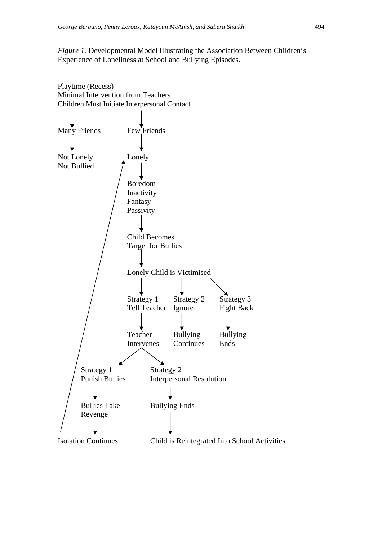#### *Figure 1.* Developmental Model Illustrating the Association Between Children's Experience of Loneliness at School and Bullying Episodes.

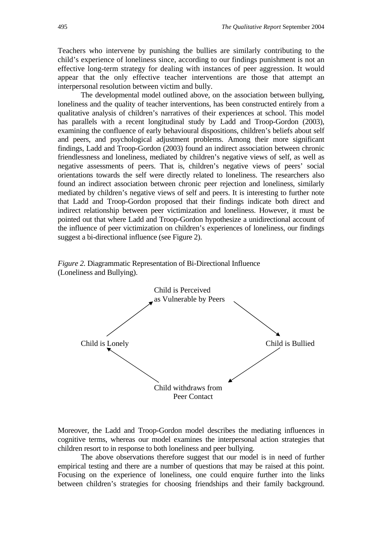Teachers who intervene by punishing the bullies are similarly contributing to the child's experience of loneliness since, according to our findings punishment is not an effective long-term strategy for dealing with instances of peer aggression. It would appear that the only effective teacher interventions are those that attempt an interpersonal resolution between victim and bully.

The developmental model outlined above, on the association between bullying, loneliness and the quality of teacher interventions, has been constructed entirely from a qualitative analysis of children's narratives of their experiences at school. This model has parallels with a recent longitudinal study by Ladd and Troop-Gordon (2003), examining the confluence of early behavioural dispositions, children's beliefs about self and peers, and psychological adjustment problems. Among their more significant findings, Ladd and Troop-Gordon (2003) found an indirect association between chronic friendlessness and loneliness, mediated by children's negative views of self, as well as negative assessments of peers. That is, children's negative views of peers' social orientations towards the self were directly related to loneliness. The researchers also found an indirect association between chronic peer rejection and loneliness, similarly mediated by children's negative views of self and peers. It is interesting to further note that Ladd and Troop-Gordon proposed that their findings indicate both direct and indirect relationship between peer victimization and loneliness. However, it must be pointed out that where Ladd and Troop-Gordon hypothesize a unidirectional account of the influence of peer victimization on children's experiences of loneliness, our findings suggest a bi-directional influence (see Figure 2).



*Figure 2.* Diagrammatic Representation of Bi-Directional Influence (Loneliness and Bullying).

Moreover, the Ladd and Troop-Gordon model describes the mediating influences in cognitive terms, whereas our model examines the interpersonal action strategies that children resort to in response to both loneliness and peer bullying.

The above observations therefore suggest that our model is in need of further empirical testing and there are a number of questions that may be raised at this point. Focusing on the experience of loneliness, one could enquire further into the links between children's strategies for choosing friendships and their family background.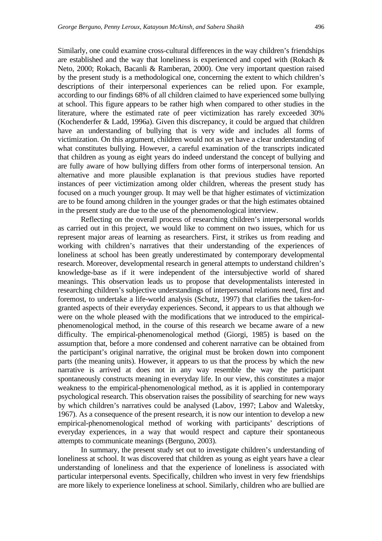Similarly, one could examine cross-cultural differences in the way children's friendships are established and the way that loneliness is experienced and coped with (Rokach & Neto, 2000; Rokach, Bacanli & Ramberan, 2000). One very important question raised by the present study is a methodological one, concerning the extent to which children's descriptions of their interpersonal experiences can be relied upon. For example, according to our findings 68% of all children claimed to have experienced some bullying at school. This figure appears to be rather high when compared to other studies in the literature, where the estimated rate of peer victimization has rarely exceeded 30% (Kochenderfer & Ladd, 1996a). Given this discrepancy, it could be argued that children have an understanding of bullying that is very wide and includes all forms of victimization. On this argument, children would not as yet have a clear understanding of what constitutes bullying. However, a careful examination of the transcripts indicated that children as young as eight years do indeed understand the concept of bullying and are fully aware of how bullying differs from other forms of interpersonal tension. An alternative and more plausible explanation is that previous studies have reported instances of peer victimization among older children, whereas the present study has focused on a much younger group. It may well be that higher estimates of victimization are to be found among children in the younger grades or that the high estimates obtained in the present study are due to the use of the phenomenological interview.

Reflecting on the overall process of researching children's interpersonal worlds as carried out in this project, we would like to comment on two issues, which for us represent major areas of learning as researchers. First, it strikes us from reading and working with children's narratives that their understanding of the experiences of loneliness at school has been greatly underestimated by contemporary developmental research. Moreover, developmental research in general attempts to understand children's knowledge-base as if it were independent of the intersubjective world of shared meanings. This observation leads us to propose that developmentalists interested in researching children's subjective understandings of interpersonal relations need, first and foremost, to undertake a life-world analysis (Schutz, 1997) that clarifies the taken-forgranted aspects of their everyday experiences. Second, it appears to us that although we were on the whole pleased with the modifications that we introduced to the empiricalphenomenological method, in the course of this research we became aware of a new difficulty. The empirical-phenomenological method (Giorgi, 1985) is based on the assumption that, before a more condensed and coherent narrative can be obtained from the participant's original narrative, the original must be broken down into component parts (the meaning units). However, it appears to us that the process by which the new narrative is arrived at does not in any way resemble the way the participant spontaneously constructs meaning in everyday life. In our view, this constitutes a major weakness to the empirical-phenomenological method, as it is applied in contemporary psychological research. This observation raises the possibility of searching for new ways by which children's narratives could be analysed (Labov, 1997; Labov and Waletsky, 1967). As a consequence of the present research, it is now our intention to develop a new empirical-phenomenological method of working with participants' descriptions of everyday experiences, in a way that would respect and capture their spontaneous attempts to communicate meanings (Berguno, 2003).

In summary, the present study set out to investigate children's understanding of loneliness at school. It was discovered that children as young as eight years have a clear understanding of loneliness and that the experience of loneliness is associated with particular interpersonal events. Specifically, children who invest in very few friendships are more likely to experience loneliness at school. Similarly, children who are bullied are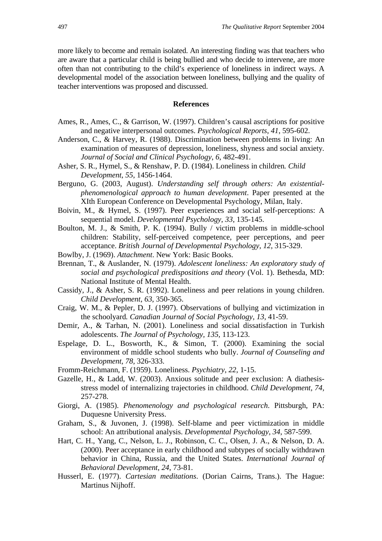more likely to become and remain isolated. An interesting finding was that teachers who are aware that a particular child is being bullied and who decide to intervene, are more often than not contributing to the child's experience of loneliness in indirect ways. A developmental model of the association between loneliness, bullying and the quality of teacher interventions was proposed and discussed.

#### **References**

- Ames, R., Ames, C., & Garrison, W. (1997). Children's causal ascriptions for positive and negative interpersonal outcomes. *Psychological Reports*, *41*, 595-602.
- Anderson, C., & Harvey, R. (1988). Discrimination between problems in living: An examination of measures of depression, loneliness, shyness and social anxiety*. Journal of Social and Clinical Psychology*, *6*, 482-491.
- Asher, S. R., Hymel, S., & Renshaw, P. D. (1984). Loneliness in children*. Child Development*, *55*, 1456-1464.
- Berguno, G. (2003, August). *Understanding self through others: An existentialphenomenological approach to human development*. Paper presented at the XIth European Conference on Developmental Psychology, Milan, Italy.
- Boivin, M., & Hymel, S. (1997). Peer experiences and social self-perceptions: A sequential model. *Developmental Psychology*, *33*, 135-145.
- Boulton, M. J., & Smith, P. K. (1994). Bully / victim problems in middle-school children: Stability, self-perceived competence, peer perceptions, and peer acceptance. *British Journal of Developmental Psychology*, *12*, 315-329.
- Bowlby, J. (1969). *Attachment*. New York: Basic Books.
- Brennan, T., & Auslander, N. (1979). *Adolescent loneliness: An exploratory study of social and psychological predispositions and theory* (Vol. 1). Bethesda, MD: National Institute of Mental Health.
- Cassidy, J., & Asher, S. R. (1992). Loneliness and peer relations in young children. *Child Development*, *63*, 350-365.
- Craig, W. M., & Pepler, D. J. (1997). Observations of bullying and victimization in the schoolyard*. Canadian Journal of Social Psychology, 13,* 41-59.
- Demir, A., & Tarhan, N. (2001). Loneliness and social dissatisfaction in Turkish adolescents. *The Journal of Psychology, 135,* 113-123.
- Espelage, D. L., Bosworth, K., & Simon, T. (2000). Examining the social environment of middle school students who bully. *Journal of Counseling and Development, 78,* 326-333.
- Fromm-Reichmann, F. (1959). Loneliness. *Psychiatry*, *22*, 1-15.
- Gazelle, H., & Ladd, W. (2003). Anxious solitude and peer exclusion: A diathesisstress model of internalizing trajectories in childhood. *Child Development, 74,*  257-278.
- Giorgi, A. (1985). *Phenomenology and psychological research*. Pittsburgh, PA: Duquesne University Press.
- Graham, S., & Juvonen, J. (1998). Self-blame and peer victimization in middle school: An attributional analysis. *Developmental Psychology*, *34*, 587-599.
- Hart, C. H., Yang, C., Nelson, L. J., Robinson, C. C., Olsen, J. A., & Nelson, D. A. (2000). Peer acceptance in early childhood and subtypes of socially withdrawn behavior in China, Russia, and the United States. *International Journal of Behavioral Development*, *24*, 73-81.
- Husserl, E. (1977). *Cartesian meditations*. (Dorian Cairns, Trans.). The Hague: Martinus Nijhoff.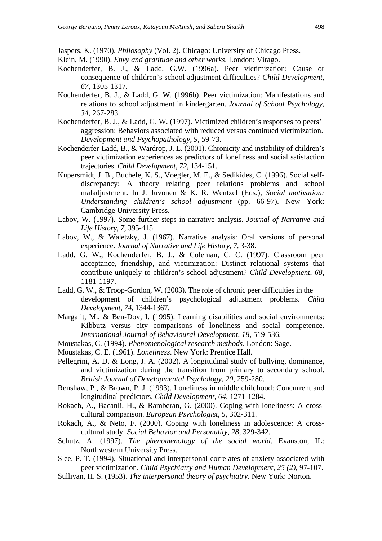Jaspers, K. (1970). *Philosophy* (Vol. 2). Chicago: University of Chicago Press.

- Klein, M. (1990). *Envy and gratitude and other works*. London: Virago.
- Kochenderfer, B. J., & Ladd, G.W. (1996a). Peer victimization: Cause or consequence of children's school adjustment difficulties? *Child Development*, *67*, 1305-1317.
- Kochenderfer, B. J., & Ladd, G. W. (1996b). Peer victimization: Manifestations and relations to school adjustment in kindergarten. *Journal of School Psychology*, *34*, 267-283.
- Kochenderfer, B. J., & Ladd, G. W. (1997). Victimized children's responses to peers' aggression: Behaviors associated with reduced versus continued victimization. *Development and Psychopathology*, *9*, 59-73.
- Kochenderfer-Ladd, B., & Wardrop, J. L. (2001). Chronicity and instability of children's peer victimization experiences as predictors of loneliness and social satisfaction trajectories. *Child Development*, *72*, 134-151.
- Kupersmidt, J. B., Buchele, K. S., Voegler, M. E., & Sedikides, C. (1996). Social selfdiscrepancy: A theory relating peer relations problems and school maladjustment. In J. Juvonen & K. R. Wentzel (Eds.), *Social motivation: Understanding children's school adjustment* (pp. 66-97). New York: Cambridge University Press.
- Labov, W. (1997). Some further steps in narrative analysis. *Journal of Narrative and Life History, 7*, 395-415
- Labov, W., & Waletzky, J. (1967). Narrative analysis: Oral versions of personal experience. *Journal of Narrative and Life History, 7*, 3-38.
- Ladd, G. W., Kochenderfer, B. J., & Coleman, C. C. (1997). Classroom peer acceptance, friendship, and victimization: Distinct relational systems that contribute uniquely to children's school adjustment? *Child Development*, *68*, 1181-1197.
- Ladd, G. W., & Troop-Gordon, W. (2003). The role of chronic peer difficulties in the development of children's psychological adjustment problems. *Child Development*, *74*, 1344-1367.
- Margalit, M., & Ben-Dov, I. (1995). Learning disabilities and social environments: Kibbutz versus city comparisons of loneliness and social competence*. International Journal of Behavioural Development*, *18*, 519-536.
- Moustakas, C. (1994). *Phenomenological research methods*. London: Sage.
- Moustakas, C. E. (1961). *Loneliness*. New York: Prentice Hall.
- Pellegrini, A. D. & Long, J. A. (2002). A longitudinal study of bullying, dominance, and victimization during the transition from primary to secondary school. *British Journal of Developmental Psychology, 20,* 259-280.
- Renshaw, P., & Brown, P. J. (1993). Loneliness in middle childhood: Concurrent and longitudinal predictors. *Child Development*, *64*, 1271-1284.
- Rokach, A., Bacanli, H., & Ramberan, G. (2000). Coping with loneliness: A crosscultural comparison. *European Psychologist*, *5*, 302-311.
- Rokach, A., & Neto, F. (2000). Coping with loneliness in adolescence: A crosscultural study. *Social Behavior and Personality, 28,* 329-342.
- Schutz, A. (1997). *The phenomenology of the social world*. Evanston, IL: Northwestern University Press.
- Slee, P. T. (1994). Situational and interpersonal correlates of anxiety associated with peer victimization. *Child Psychiatry and Human Development, 25 (2),* 97-107.
- Sullivan, H. S. (1953). *The interpersonal theory of psychiatry*. New York: Norton.